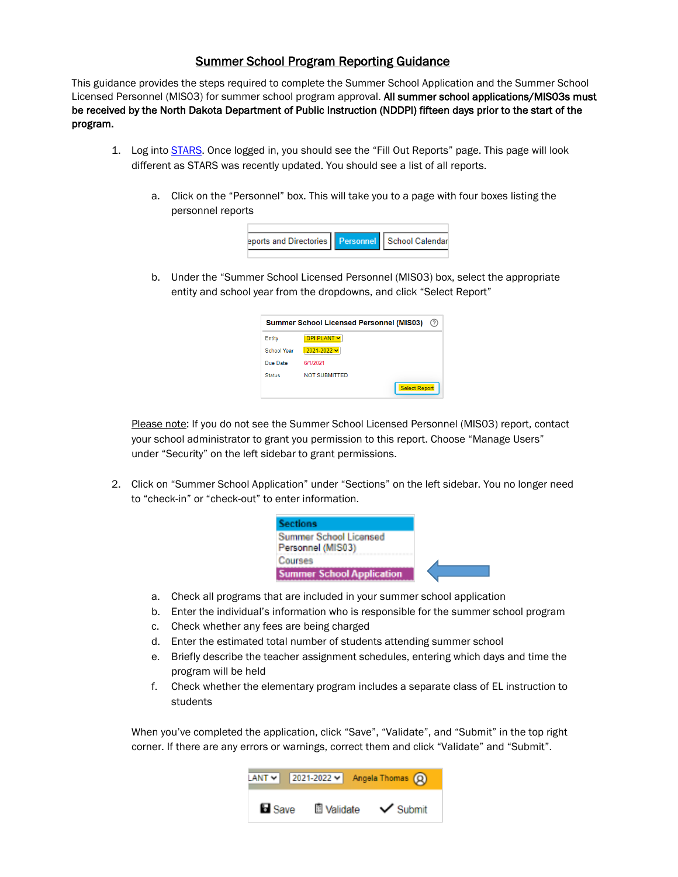## Summer School Program Reporting Guidance

This guidance provides the steps required to complete the Summer School Application and the Summer School Licensed Personnel (MISO3) for summer school program approval. All summer school applications/MISO3s must be received by the North Dakota Department of Public Instruction (NDDPI) fifteen days prior to the start of the program.

- 1. Log into [STARS.](https://secure.apps.state.nd.us/dpi/stars/Login.aspx) Once logged in, you should see the "Fill Out Reports" page. This page will look different as STARS was recently updated. You should see a list of all reports.
	- a. Click on the "Personnel" box. This will take you to a page with four boxes listing the personnel reports

| eports and Directories   Personnel   School Calendar |  |
|------------------------------------------------------|--|
|                                                      |  |

b. Under the "Summer School Licensed Personnel (MIS03) box, select the appropriate entity and school year from the dropdowns, and click "Select Report"

| <b>Summer School Licensed Personnel (MIS03)</b><br>(2) |                      |  |
|--------------------------------------------------------|----------------------|--|
| Entity                                                 | DPI PLANT V          |  |
| <b>School Year</b>                                     | $2021 - 2022$ $\vee$ |  |
| Due Date                                               | 6/1/2021             |  |
| <b>Status</b>                                          | <b>NOT SUBMITTED</b> |  |
|                                                        | <b>Select Report</b> |  |

Please note: If you do not see the Summer School Licensed Personnel (MISO3) report, contact your school administrator to grant you permission to this report. Choose "Manage Users" under "Security" on the left sidebar to grant permissions.

2. Click on "Summer School Application" under "Sections" on the left sidebar. You no longer need to "check-in" or "check-out" to enter information.

| Sections                                    |
|---------------------------------------------|
| Summer School Licensed<br>Personnel (MIS03) |
| <b>Courses</b>                              |
| <b>Summer School Application</b>            |

- a. Check all programs that are included in your summer school application
- b. Enter the individual's information who is responsible for the summer school program
- c. Check whether any fees are being charged
- d. Enter the estimated total number of students attending summer school
- e. Briefly describe the teacher assignment schedules, entering which days and time the program will be held
- f. Check whether the elementary program includes a separate class of EL instruction to students

When you've completed the application, click "Save", "Validate", and "Submit" in the top right corner. If there are any errors or warnings, correct them and click "Validate" and "Submit".

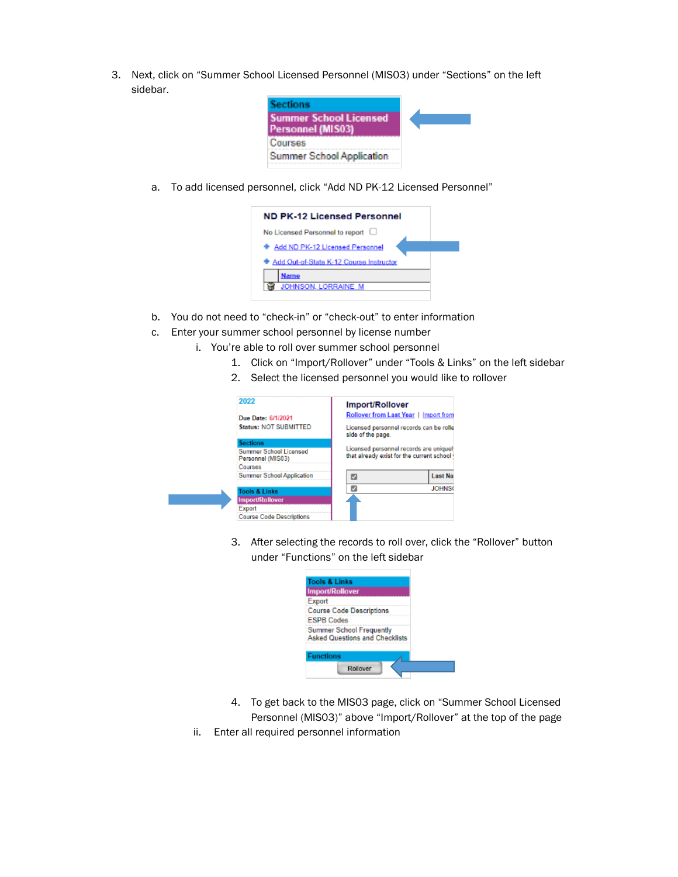3. Next, click on "Summer School Licensed Personnel (MIS03) under "Sections" on the left sidebar.



a. To add licensed personnel, click "Add ND PK-12 Licensed Personnel"



- b. You do not need to "check-in" or "check-out" to enter information
- c. Enter your summer school personnel by license number

н

- i. You're able to roll over summer school personnel
	- 1. Click on "Import/Rollover" under "Tools & Links" on the left sidebar
	- 2. Select the licensed personnel you would like to rollover

| 2022                                        | Import/Rollover                                                                     |                |  |
|---------------------------------------------|-------------------------------------------------------------------------------------|----------------|--|
| Due Date: 6/1/2021                          | Rollover from Last Year   Import from                                               |                |  |
| <b>Status: NOT SUBMITTED</b>                | Licensed personnel records can be rolle<br>side of the page.                        |                |  |
| <b>Sections</b>                             |                                                                                     |                |  |
| Summer School Licensed<br>Personnel (MIS03) | Licensed personnel records are uniquel<br>that already exist for the current school |                |  |
| Courses                                     |                                                                                     |                |  |
| <b>Summer School Application</b>            | ю                                                                                   | <b>Last Na</b> |  |
| <b>Tools &amp; Links</b>                    | ø                                                                                   | <b>JOHNS</b>   |  |
| <b>Import/Rollover</b>                      |                                                                                     |                |  |
| Export                                      |                                                                                     |                |  |
| <b>Course Code Descriptions</b>             |                                                                                     |                |  |

3. After selecting the records to roll over, click the "Rollover" button under "Functions" on the left sidebar



- 4. To get back to the MIS03 page, click on "Summer School Licensed Personnel (MIS03)" above "Import/Rollover" at the top of the page
- ii. Enter all required personnel information